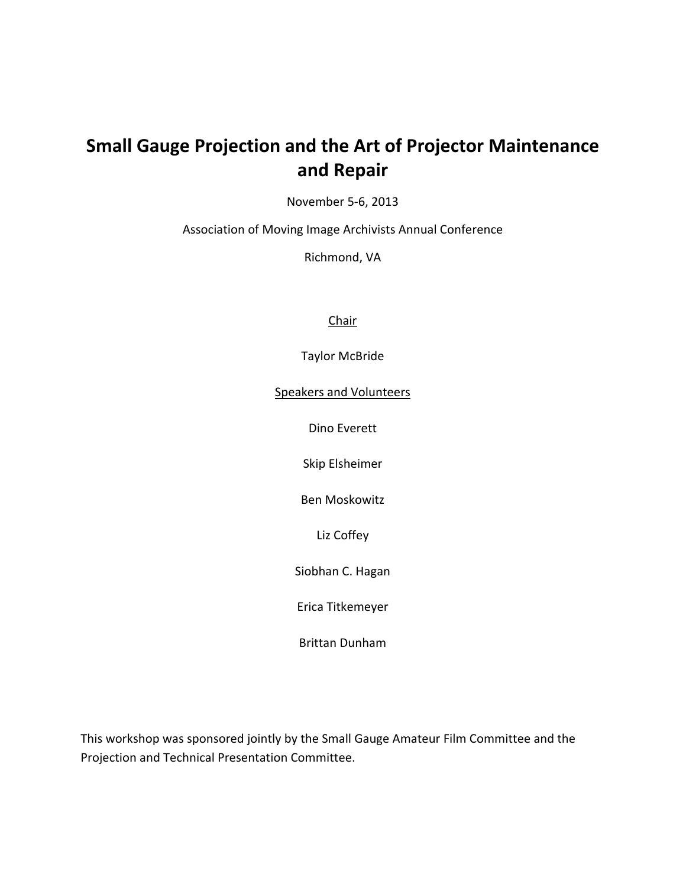## **Small Gauge Projection and the Art of Projector Maintenance and Repair**

November 5‐6, 2013

Association of Moving Image Archivists Annual Conference

Richmond, VA

Chair

Taylor McBride

Speakers and Volunteers

Dino Everett

Skip Elsheimer

Ben Moskowitz

Liz Coffey

Siobhan C. Hagan

Erica Titkemeyer

Brittan Dunham

This workshop was sponsored jointly by the Small Gauge Amateur Film Committee and the Projection and Technical Presentation Committee.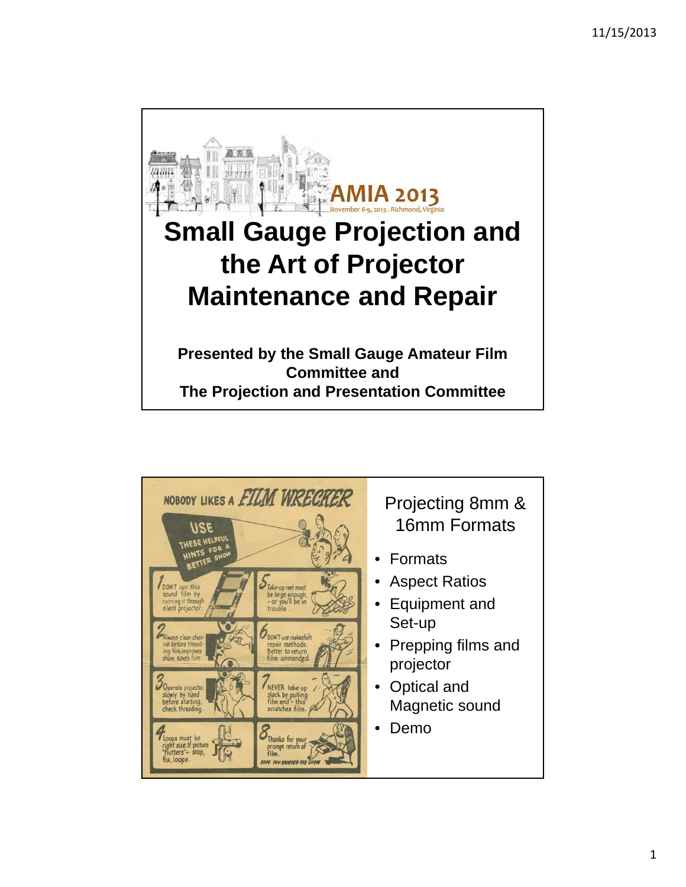

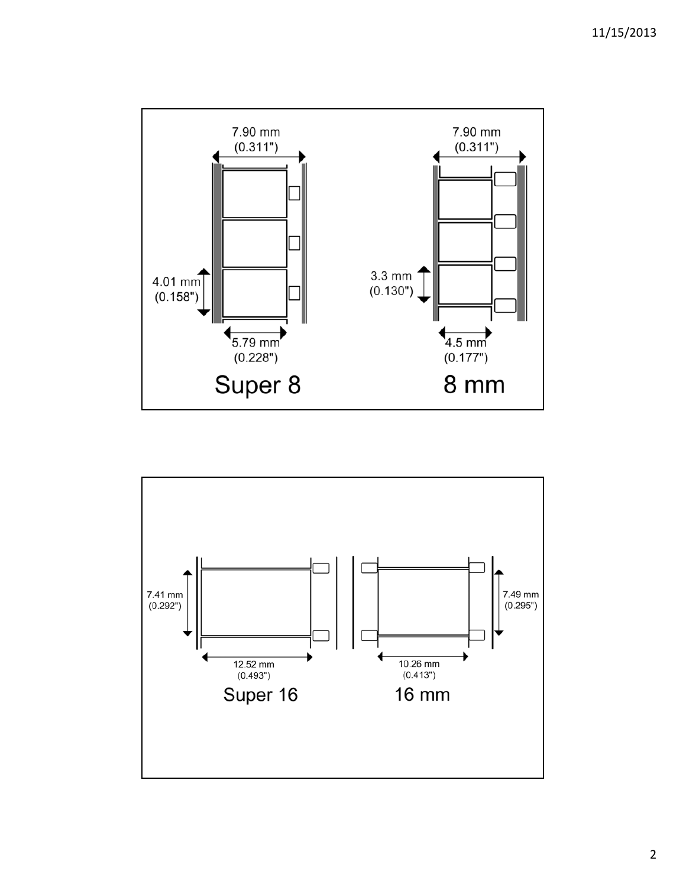

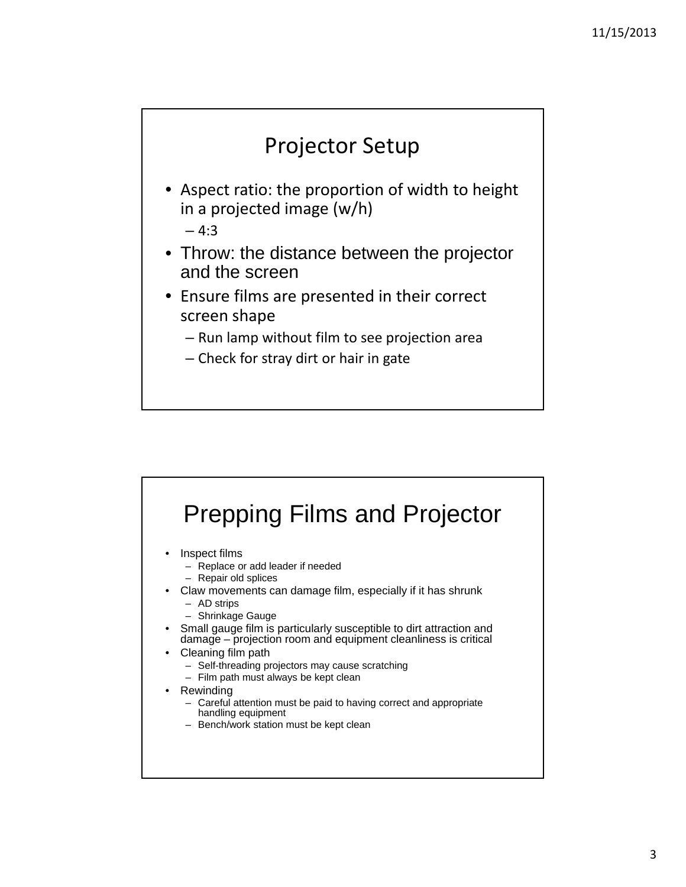# Projector Setup

- Aspect ratio: the proportion of width to height in a projected image (w/h)
	- $-4:3$
- Throw: the distance between the projector and the screen
- Ensure films are presented in their correct screen shape
	- Run lamp without film to see projection area
	- Check for stray dirt or hair in gate

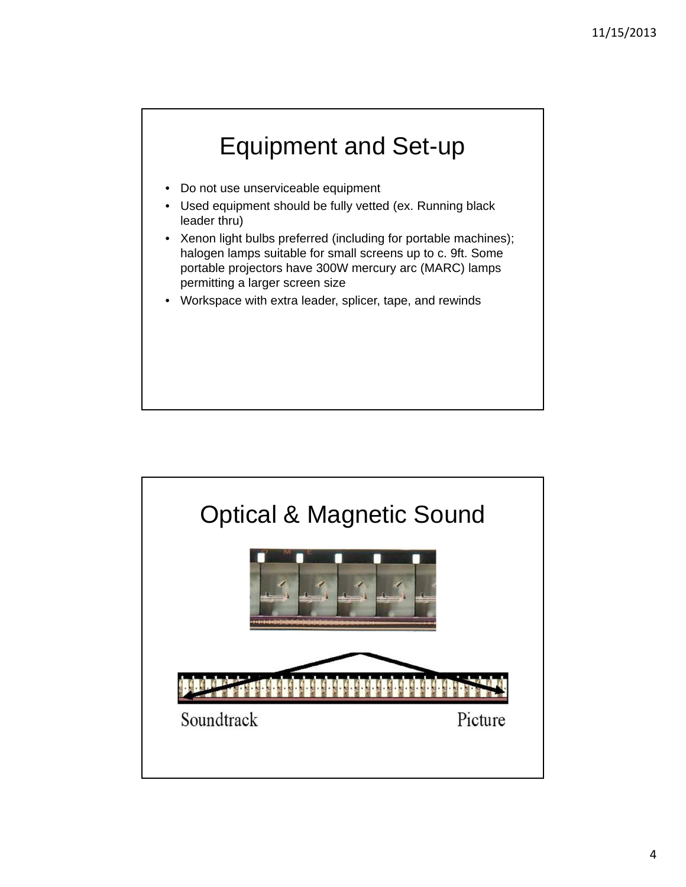

- Do not use unserviceable equipment
- Used equipment should be fully vetted (ex. Running black leader thru)
- Xenon light bulbs preferred (including for portable machines); halogen lamps suitable for small screens up to c. 9ft. Some portable projectors have 300W mercury arc (MARC) lamps permitting a larger screen size
- Workspace with extra leader, splicer, tape, and rewinds

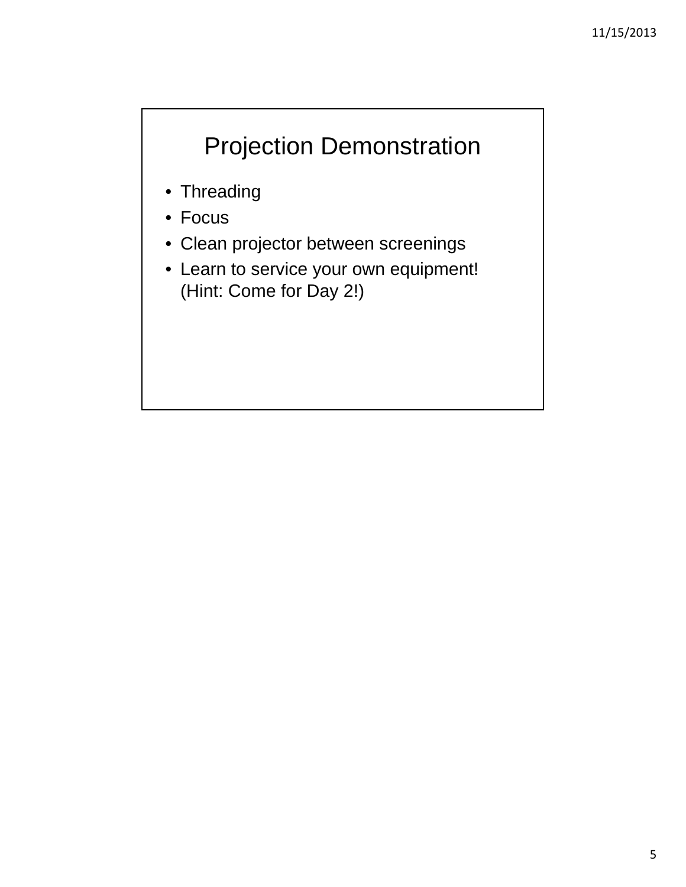# Projection Demonstration

- Threading
- Focus
- Clean projector between screenings
- Learn to service your own equipment! (Hint: Come for Day 2!)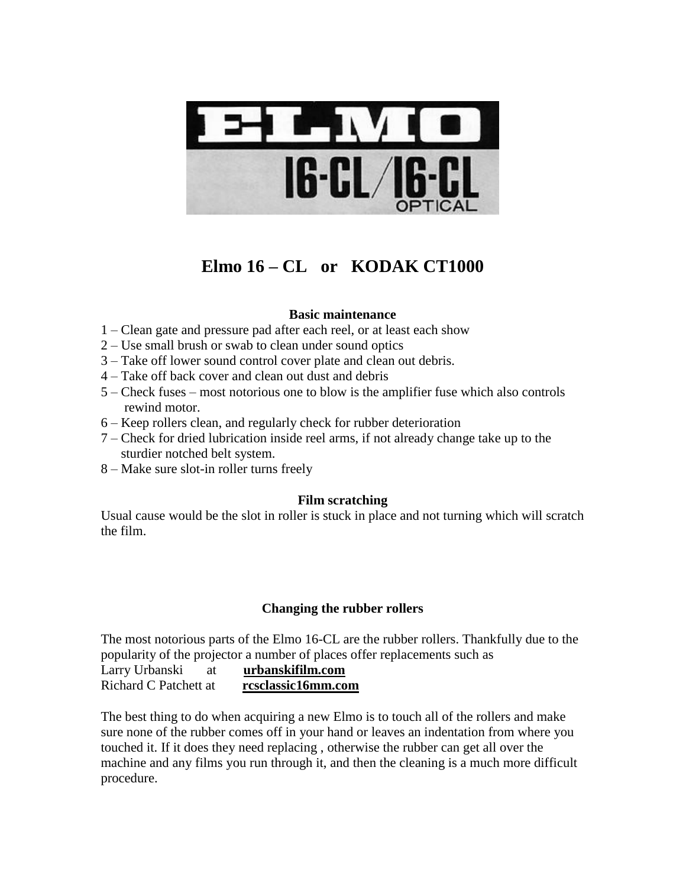

## **Elmo 16 – CL or KODAK CT1000**

## **Basic maintenance**

- 1 Clean gate and pressure pad after each reel, or at least each show
- 2 Use small brush or swab to clean under sound optics
- 3 Take off lower sound control cover plate and clean out debris.
- 4 Take off back cover and clean out dust and debris
- 5 Check fuses most notorious one to blow is the amplifier fuse which also controls rewind motor.
- 6 Keep rollers clean, and regularly check for rubber deterioration
- 7 Check for dried lubrication inside reel arms, if not already change take up to the sturdier notched belt system.
- 8 Make sure slot-in roller turns freely

## **Film scratching**

Usual cause would be the slot in roller is stuck in place and not turning which will scratch the film.

## **Changing the rubber rollers**

The most notorious parts of the Elmo 16-CL are the rubber rollers. Thankfully due to the popularity of the projector a number of places offer replacements such as

Larry Urbanski at **urbanskifilm.com** Richard C Patchett at **rcsclassic16mm.com**

The best thing to do when acquiring a new Elmo is to touch all of the rollers and make sure none of the rubber comes off in your hand or leaves an indentation from where you touched it. If it does they need replacing , otherwise the rubber can get all over the machine and any films you run through it, and then the cleaning is a much more difficult procedure.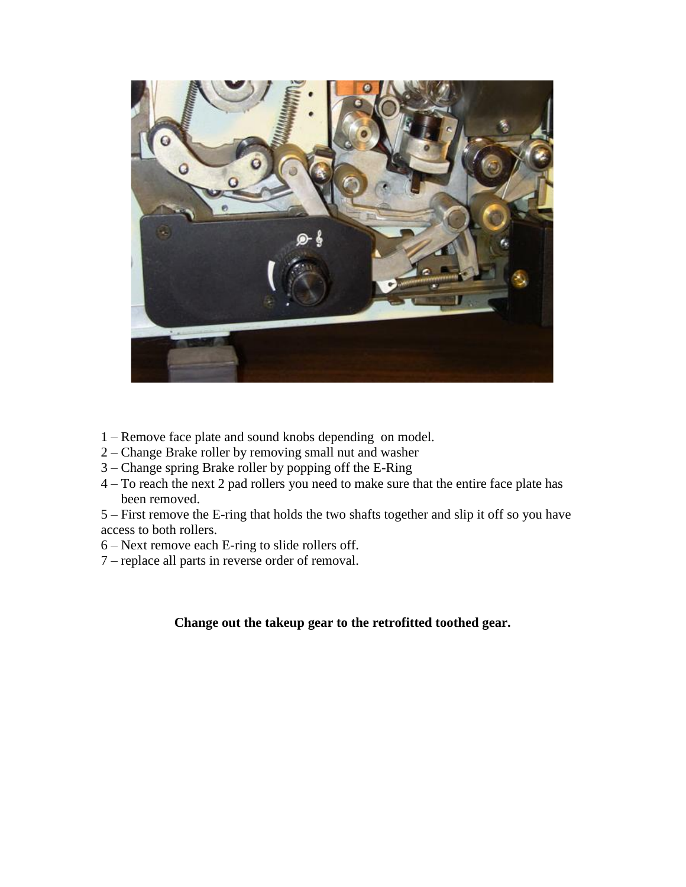

- 1 Remove face plate and sound knobs depending on model.
- 2 Change Brake roller by removing small nut and washer
- 3 Change spring Brake roller by popping off the E-Ring
- 4 To reach the next 2 pad rollers you need to make sure that the entire face plate has been removed.

5 – First remove the E-ring that holds the two shafts together and slip it off so you have access to both rollers.

- 6 Next remove each E-ring to slide rollers off.
- 7 replace all parts in reverse order of removal.

**Change out the takeup gear to the retrofitted toothed gear.**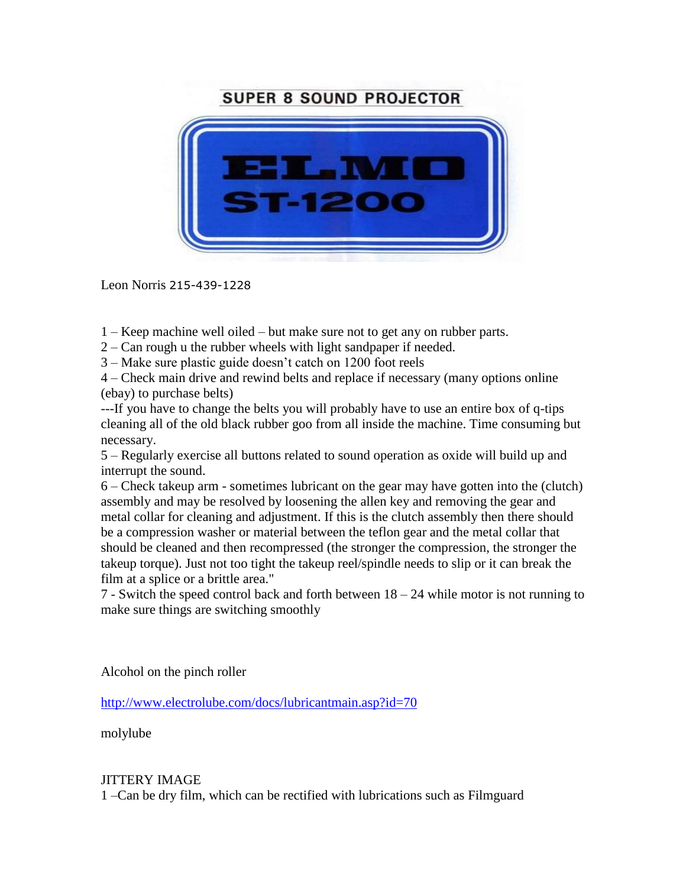## **SUPER 8 SOUND PROJECTOR**



Leon Norris 215-439-1228

- 1 Keep machine well oiled but make sure not to get any on rubber parts.
- 2 Can rough u the rubber wheels with light sandpaper if needed.

3 – Make sure plastic guide doesn't catch on 1200 foot reels

4 – Check main drive and rewind belts and replace if necessary (many options online (ebay) to purchase belts)

---If you have to change the belts you will probably have to use an entire box of q-tips cleaning all of the old black rubber goo from all inside the machine. Time consuming but necessary.

5 – Regularly exercise all buttons related to sound operation as oxide will build up and interrupt the sound.

6 – Check takeup arm - sometimes lubricant on the gear may have gotten into the (clutch) assembly and may be resolved by loosening the allen key and removing the gear and metal collar for cleaning and adjustment. If this is the clutch assembly then there should be a compression washer or material between the teflon gear and the metal collar that should be cleaned and then recompressed (the stronger the compression, the stronger the takeup torque). Just not too tight the takeup reel/spindle needs to slip or it can break the film at a splice or a brittle area."

7 - Switch the speed control back and forth between 18 – 24 while motor is not running to make sure things are switching smoothly

Alcohol on the pinch roller

<http://www.electrolube.com/docs/lubricantmain.asp?id=70>

molylube

## JITTERY IMAGE

1 –Can be dry film, which can be rectified with lubrications such as Filmguard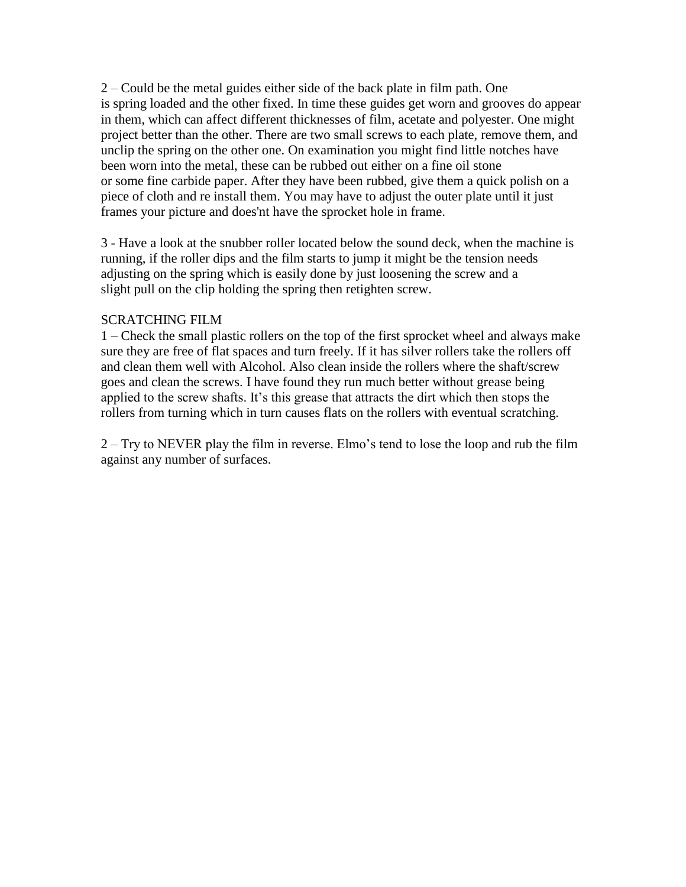2 – Could be the metal guides either side of the back plate in film path. One is spring loaded and the other fixed. In time these guides get worn and grooves do appear in them, which can affect different thicknesses of film, acetate and polyester. One might project better than the other. There are two small screws to each plate, remove them, and unclip the spring on the other one. On examination you might find little notches have been worn into the metal, these can be rubbed out either on a fine oil stone or some fine carbide paper. After they have been rubbed, give them a quick polish on a piece of cloth and re install them. You may have to adjust the outer plate until it just frames your picture and does'nt have the sprocket hole in frame.

3 - Have a look at the snubber roller located below the sound deck, when the machine is running, if the roller dips and the film starts to jump it might be the tension needs adjusting on the spring which is easily done by just loosening the screw and a slight pull on the clip holding the spring then retighten screw.

## SCRATCHING FILM

1 – Check the small plastic rollers on the top of the first sprocket wheel and always make sure they are free of flat spaces and turn freely. If it has silver rollers take the rollers off and clean them well with Alcohol. Also clean inside the rollers where the shaft/screw goes and clean the screws. I have found they run much better without grease being applied to the screw shafts. It's this grease that attracts the dirt which then stops the rollers from turning which in turn causes flats on the rollers with eventual scratching.

2 – Try to NEVER play the film in reverse. Elmo's tend to lose the loop and rub the film against any number of surfaces.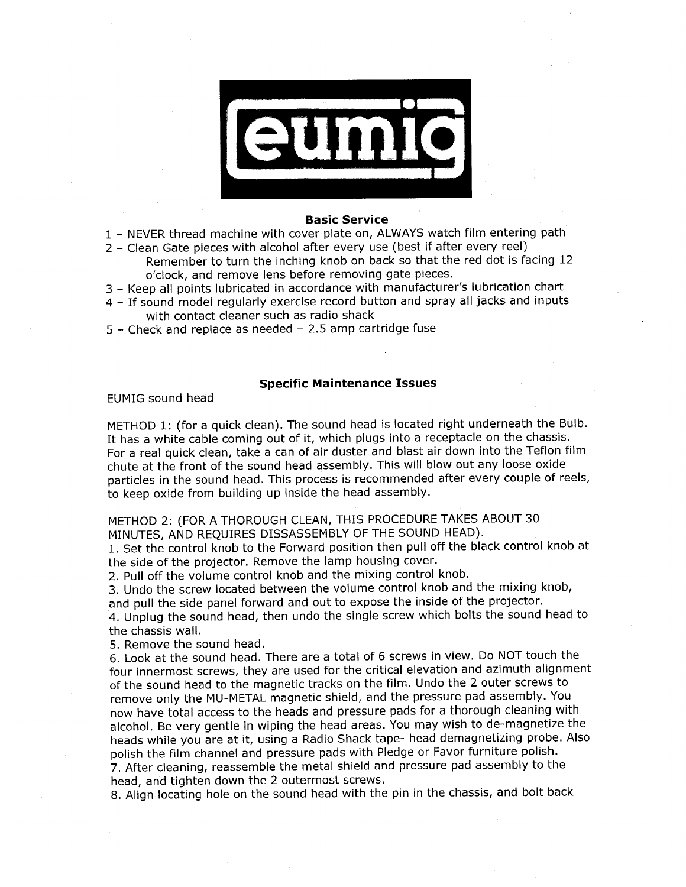

#### **Basic Service**

- 1 NEVER thread machine with cover plate on, ALWAYS watch film entering path
- 2 Clean Gate pieces with alcohol after every use (best if after every reel)
	- Remember to turn the inching knob on back so that the red dot is facing 12 o'clock, and remove lens before removing gate pieces.
- 3 Keep all points lubricated in accordance with manufacturer's lubrication chart
- 4 If sound model regularly exercise record button and spray all jacks and inputs with contact cleaner such as radio shack
- $5$  Check and replace as needed 2.5 amp cartridge fuse

#### **Specific Maintenance Issues**

EUMIG sound head

METHOD 1: (for a quick clean). The sound head is located right underneath the Bulb. It has a white cable coming out of it, which plugs into a receptacle on the chassis. For a real quick clean, take a can of air duster and blast air down into the Teflon film chute at the front of the sound head assembly. This will blow out any loose oxide particles in the sound head. This process is recommended after every couple of reels, to keep oxide from building up inside the head assembly.

METHOD 2: (FOR A THOROUGH CLEAN, THIS PROCEDURE TAKES ABOUT 30 MINUTES, AND REQUIRES DISSASSEMBLY OF THE SOUND HEAD).

1. Set the control knob to the Forward position then pull off the black control knob at the side of the projector. Remove the lamp housing cover.

2. Pull off the volume control knob and the mixing control knob.

3. Undo the screw located between the volume control knob and the mixing knob, and pull the side panel forward and out to expose the inside of the projector.

4. Unplug the sound head, then undo the single screw which bolts the sound head to the chassis wall.

5. Remove the sound head.

6. Look at the sound head. There are a total of 6 screws in view. Do NOT touch the four innermost screws, they are used for the critical elevation and azimuth alignment of the sound head to the magnetic tracks on the film. Undo the 2 outer screws to remove only the MU-METAL magnetic shield, and the pressure pad assembly. You now have total access to the heads and pressure pads for a thorough cleaning with alcohol. Be very gentle in wiping the head areas. You may wish to de-magnetize the heads while you are at it, using a Radio Shack tape- head demagnetizing probe. Also polish the film channel and pressure pads with Pledge or Favor furniture polish.

7. After cleaning, reassemble the metal shield and pressure pad assembly to the head, and tighten down the 2 outermost screws.

8. Align locating hole on the sound head with the pin in the chassis, and bolt back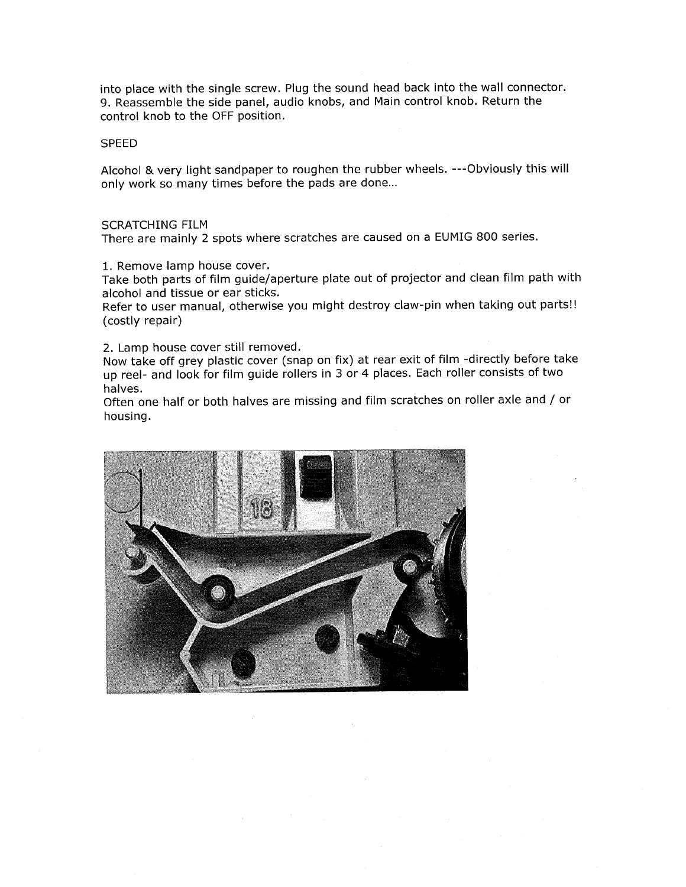into place with the single screw. Plug the sound head back into the wall connector. 9. Reassemble the side panel, audio knobs, and Main control knob. Return the control knob to the OFF position.

#### **SPEED**

Alcohol & very light sandpaper to roughen the rubber wheels. --- Obviously this will only work so many times before the pads are done...

#### **SCRATCHING FILM**

There are mainly 2 spots where scratches are caused on a EUMIG 800 series.

1. Remove lamp house cover.

Take both parts of film guide/aperture plate out of projector and clean film path with alcohol and tissue or ear sticks.

Refer to user manual, otherwise you might destroy claw-pin when taking out parts!! (costly repair)

2. Lamp house cover still removed.

Now take off grey plastic cover (snap on fix) at rear exit of film -directly before take up reel- and look for film guide rollers in 3 or 4 places. Each roller consists of two halves.

Often one half or both halves are missing and film scratches on roller axle and / or housing.

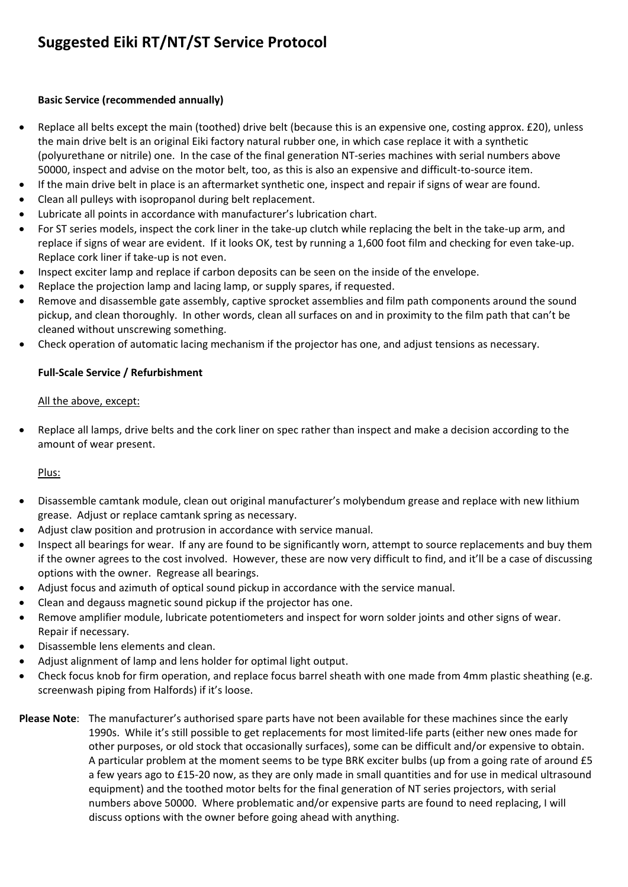## **Suggested Eiki RT/NT/ST Service Protocol**

## **Basic Service (recommended annually)**

- Replace all belts except the main (toothed) drive belt (because this is an expensive one, costing approx. £20), unless the main drive belt is an original Eiki factory natural rubber one, in which case replace it with a synthetic (polyurethane or nitrile) one. In the case of the final generation NT‐series machines with serial numbers above 50000, inspect and advise on the motor belt, too, as this is also an expensive and difficult‐to‐source item.
- If the main drive belt in place is an aftermarket synthetic one, inspect and repair if signs of wear are found.
- Clean all pulleys with isopropanol during belt replacement.
- Lubricate all points in accordance with manufacturer's lubrication chart.
- For ST series models, inspect the cork liner in the take‐up clutch while replacing the belt in the take‐up arm, and replace if signs of wear are evident. If it looks OK, test by running a 1,600 foot film and checking for even take-up. Replace cork liner if take‐up is not even.
- Inspect exciter lamp and replace if carbon deposits can be seen on the inside of the envelope.
- Replace the projection lamp and lacing lamp, or supply spares, if requested.
- Remove and disassemble gate assembly, captive sprocket assemblies and film path components around the sound pickup, and clean thoroughly. In other words, clean all surfaces on and in proximity to the film path that can't be cleaned without unscrewing something.
- Check operation of automatic lacing mechanism if the projector has one, and adjust tensions as necessary.

## **Full‐Scale Service / Refurbishment**

## All the above, except:

• Replace all lamps, drive belts and the cork liner on spec rather than inspect and make a decision according to the amount of wear present.

## Plus:

- Disassemble camtank module, clean out original manufacturer's molybendum grease and replace with new lithium grease. Adjust or replace camtank spring as necessary.
- Adjust claw position and protrusion in accordance with service manual.
- Inspect all bearings for wear. If any are found to be significantly worn, attempt to source replacements and buy them if the owner agrees to the cost involved. However, these are now very difficult to find, and it'll be a case of discussing options with the owner. Regrease all bearings.
- Adjust focus and azimuth of optical sound pickup in accordance with the service manual.
- Clean and degauss magnetic sound pickup if the projector has one.
- Remove amplifier module, lubricate potentiometers and inspect for worn solder joints and other signs of wear. Repair if necessary.
- Disassemble lens elements and clean.
- Adjust alignment of lamp and lens holder for optimal light output.
- Check focus knob for firm operation, and replace focus barrel sheath with one made from 4mm plastic sheathing (e.g. screenwash piping from Halfords) if it's loose.
- **Please Note**: The manufacturer's authorised spare parts have not been available for these machines since the early 1990s. While it's still possible to get replacements for most limited‐life parts (either new ones made for other purposes, or old stock that occasionally surfaces), some can be difficult and/or expensive to obtain. A particular problem at the moment seems to be type BRK exciter bulbs (up from a going rate of around £5 a few years ago to £15‐20 now, as they are only made in small quantities and for use in medical ultrasound equipment) and the toothed motor belts for the final generation of NT series projectors, with serial numbers above 50000. Where problematic and/or expensive parts are found to need replacing, I will discuss options with the owner before going ahead with anything.